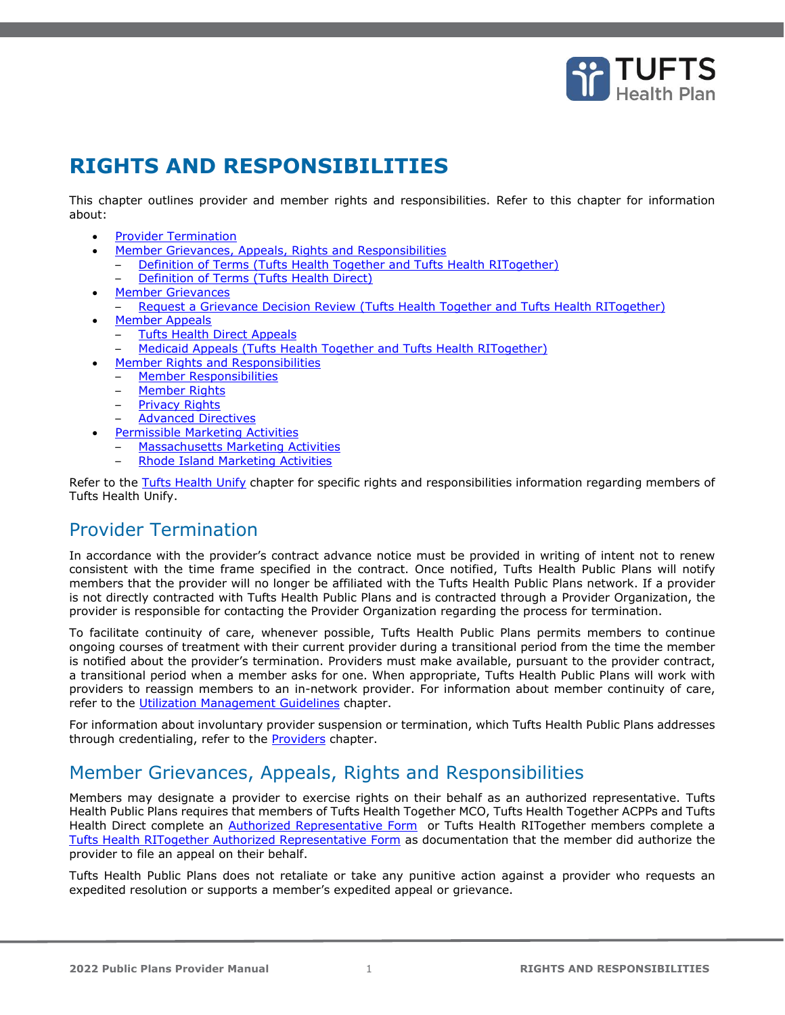

# **RIGHTS AND RESPONSIBILITIES**

This chapter outlines provider and member rights and responsibilities. Refer to this chapter for information about:

- **[Provider Termination](#page-0-0)**
- [Member Grievances, Appeals, Rights and Responsibilities](#page-0-1)
- [Definition of Terms \(Tufts Health Together and Tufts Health RITogether\)](#page-1-0)  – [Definition of Terms \(Tufts Health Direct\)](#page-1-1)
- **[Member Grievances](#page-2-0)**
- [Request a Grievance Decision Review \(Tufts Health Together and Tufts Health RITogether\)](#page-2-1)
- [Member Appeals](#page-3-0)
	- [Tufts Health Direct Appeals](#page-3-1)
	- [Medicaid Appeals \(Tufts Health Together and Tufts Health RITogether\)](#page-6-0)
- [Member Rights and Responsibilities](#page-9-0)
	- [Member Responsibilities](#page-9-1)
	- **[Member Rights](#page-10-0)**
	- [Privacy Rights](#page-10-1)
	- [Advanced Directives](#page-11-0)
- [Permissible Marketing Activities](#page-11-1)
	- [Massachusetts Marketing Activities](#page-11-2)
	- [Rhode Island Marketing Activities](#page-12-0)

Refer to the Tufts Health Unify chapter for specific rights and responsibilities information regarding members of Tufts Health Unify.

## <span id="page-0-0"></span>Provider Termination

In accordance with the provider's contract advance notice must be provided in writing of intent not to renew consistent with the time frame specified in the contract. Once notified, Tufts Health Public Plans will notify members that the provider will no longer be affiliated with the Tufts Health Public Plans network. If a provider is not directly contracted with Tufts Health Public Plans and is contracted through a Provider Organization, the provider is responsible for contacting the Provider Organization regarding the process for termination.

To facilitate continuity of care, whenever possible, Tufts Health Public Plans permits members to continue ongoing courses of treatment with their current provider during a transitional period from the time the member is notified about the provider's termination. Providers must make available, pursuant to the provider contract, a transitional period when a member asks for one. When appropriate, Tufts Health Public Plans will work with providers to reassign members to an in-network provider. For information about member continuity of care, refer to the Utilization Management Guidelines chapter.

For information about involuntary provider suspension or termination, which Tufts Health Public Plans addresses through credentialing, refer to the **Providers** chapter.

## <span id="page-0-1"></span>Member Grievances, Appeals, Rights and Responsibilities

Members may designate a provider to exercise rights on their behalf as an authorized representative. Tufts Health Public Plans requires that members of Tufts Health Together MCO, Tufts Health Together ACPPs and Tufts Health Direct complete an [Authorized Representative Form](https://tuftshealthplan.com/documents/members/forms/thpp-non-unify-authorized-rep-form) or Tufts Health RITogether members complete a [Tufts Health RITogether Authorized Representative Form](https://tuftshealthplan.com/documents/members/forms/rit-authorized-representative-form) as documentation that the member did authorize the provider to file an appeal on their behalf.

Tufts Health Public Plans does not retaliate or take any punitive action against a provider who requests an expedited resolution or supports a member's expedited appeal or grievance.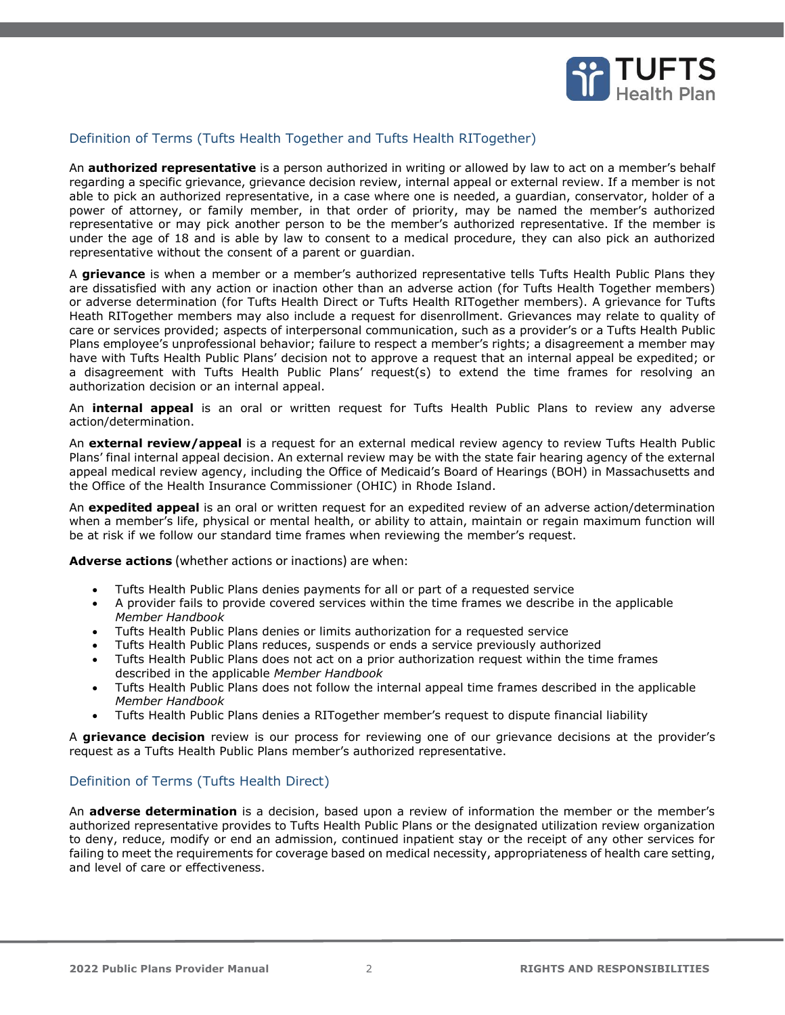

### <span id="page-1-0"></span>Definition of Terms (Tufts Health Together and Tufts Health RITogether)

An **authorized representative** is a person authorized in writing or allowed by law to act on a member's behalf regarding a specific grievance, grievance decision review, internal appeal or external review. If a member is not able to pick an authorized representative, in a case where one is needed, a guardian, conservator, holder of a power of attorney, or family member, in that order of priority, may be named the member's authorized representative or may pick another person to be the member's authorized representative. If the member is under the age of 18 and is able by law to consent to a medical procedure, they can also pick an authorized representative without the consent of a parent or guardian.

A **grievance** is when a member or a member's authorized representative tells Tufts Health Public Plans they are dissatisfied with any action or inaction other than an adverse action (for Tufts Health Together members) or adverse determination (for Tufts Health Direct or Tufts Health RITogether members). A grievance for Tufts Heath RITogether members may also include a request for disenrollment. Grievances may relate to quality of care or services provided; aspects of interpersonal communication, such as a provider's or a Tufts Health Public Plans employee's unprofessional behavior; failure to respect a member's rights; a disagreement a member may have with Tufts Health Public Plans' decision not to approve a request that an internal appeal be expedited; or a disagreement with Tufts Health Public Plans' request(s) to extend the time frames for resolving an authorization decision or an internal appeal.

An **internal appeal** is an oral or written request for Tufts Health Public Plans to review any adverse action/determination.

An **external review/appeal** is a request for an external medical review agency to review Tufts Health Public Plans' final internal appeal decision. An external review may be with the state fair hearing agency of the external appeal medical review agency, including the Office of Medicaid's Board of Hearings (BOH) in Massachusetts and the Office of the Health Insurance Commissioner (OHIC) in Rhode Island.

An **expedited appeal** is an oral or written request for an expedited review of an adverse action/determination when a member's life, physical or mental health, or ability to attain, maintain or regain maximum function will be at risk if we follow our standard time frames when reviewing the member's request.

**Adverse actions** (whether actions or inactions) are when:

- Tufts Health Public Plans denies payments for all or part of a requested service
- A provider fails to provide covered services within the time frames we describe in the applicable *Member Handbook*
- Tufts Health Public Plans denies or limits authorization for a requested service
- Tufts Health Public Plans reduces, suspends or ends a service previously authorized
- Tufts Health Public Plans does not act on a prior authorization request within the time frames described in the applicable *Member Handbook*
- Tufts Health Public Plans does not follow the internal appeal time frames described in the applicable *Member Handbook*
- Tufts Health Public Plans denies a RITogether member's request to dispute financial liability

A **grievance decision** review is our process for reviewing one of our grievance decisions at the provider's request as a Tufts Health Public Plans member's authorized representative.

#### <span id="page-1-1"></span>Definition of Terms (Tufts Health Direct)

An **adverse determination** is a decision, based upon a review of information the member or the member's authorized representative provides to Tufts Health Public Plans or the designated utilization review organization to deny, reduce, modify or end an admission, continued inpatient stay or the receipt of any other services for failing to meet the requirements for coverage based on medical necessity, appropriateness of health care setting, and level of care or effectiveness.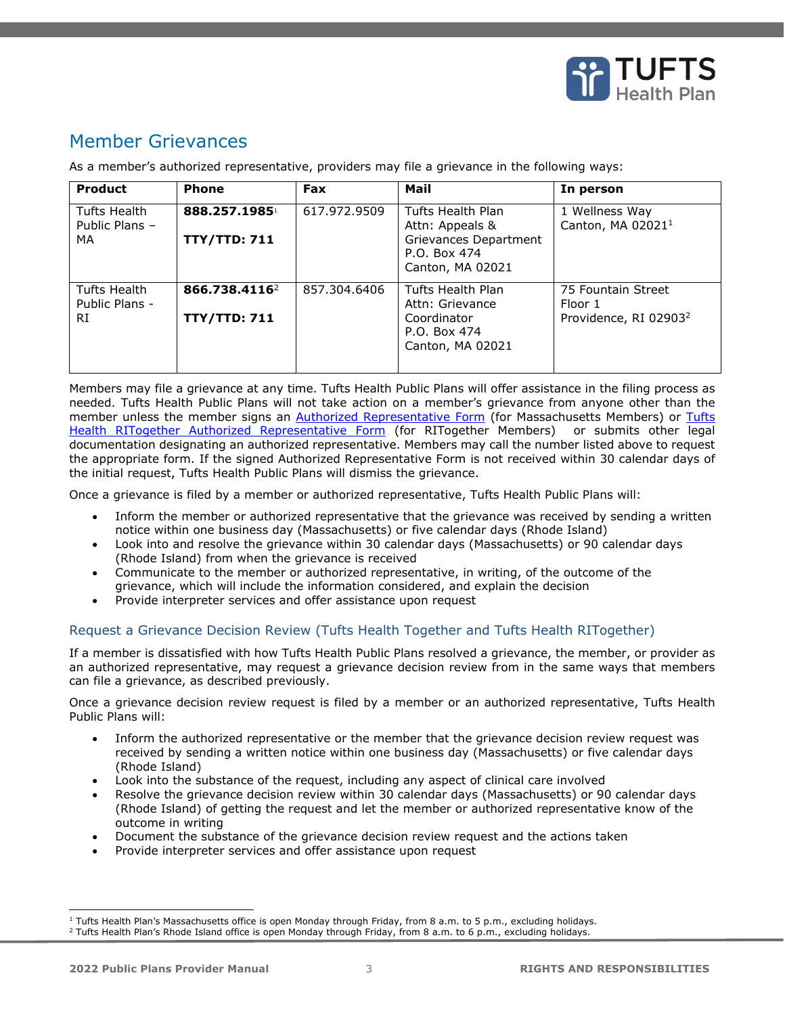

## <span id="page-2-0"></span>Member Grievances

As a member's authorized representative, providers may file a grievance in the following ways:

| <b>Product</b>                       | <b>Phone</b>                                     | <b>Fax</b>   | Mail                                                                                              | In person                                                          |
|--------------------------------------|--------------------------------------------------|--------------|---------------------------------------------------------------------------------------------------|--------------------------------------------------------------------|
| Tufts Health<br>Public Plans -<br>MA | 888.257.1985<br><b>TTY/TTD: 711</b>              | 617.972.9509 | Tufts Health Plan<br>Attn: Appeals &<br>Grievances Department<br>P.O. Box 474<br>Canton, MA 02021 | 1 Wellness Way<br>Canton, MA 02021 <sup>1</sup>                    |
| Tufts Health<br>Public Plans -<br>RI | 866.738.4116 <sup>2</sup><br><b>TTY/TTD: 711</b> | 857.304.6406 | Tufts Health Plan<br>Attn: Grievance<br>Coordinator<br>P.O. Box 474<br>Canton, MA 02021           | 75 Fountain Street<br>Floor 1<br>Providence, RI 02903 <sup>2</sup> |

Members may file a grievance at any time. Tufts Health Public Plans will offer assistance in the filing process as needed. Tufts Health Public Plans will not take action on a member's grievance from anyone other than the member unless the member signs an **Authorized Representative Form** (for Massachusetts Members) or **Tufts** [Health RITogether Authorized Representative Form](https://tuftshealthplan.com/documents/members/forms/rit-authorized-representative-form) (for RITogether Members) or submits other legal documentation designating an authorized representative. Members may call the number listed above to request the appropriate form. If the signed Authorized Representative Form is not received within 30 calendar days of the initial request, Tufts Health Public Plans will dismiss the grievance.

Once a grievance is filed by a member or authorized representative, Tufts Health Public Plans will:

- Inform the member or authorized representative that the grievance was received by sending a written notice within one business day (Massachusetts) or five calendar days (Rhode Island)
- Look into and resolve the grievance within 30 calendar days (Massachusetts) or 90 calendar days (Rhode Island) from when the grievance is received
- Communicate to the member or authorized representative, in writing, of the outcome of the grievance, which will include the information considered, and explain the decision
- Provide interpreter services and offer assistance upon request

#### <span id="page-2-1"></span>Request a Grievance Decision Review (Tufts Health Together and Tufts Health RITogether)

If a member is dissatisfied with how Tufts Health Public Plans resolved a grievance, the member, or provider as an authorized representative, may request a grievance decision review from in the same ways that members can file a grievance, as described previously.

Once a grievance decision review request is filed by a member or an authorized representative, Tufts Health Public Plans will:

- Inform the authorized representative or the member that the grievance decision review request was received by sending a written notice within one business day (Massachusetts) or five calendar days (Rhode Island)
- Look into the substance of the request, including any aspect of clinical care involved
- Resolve the grievance decision review within 30 calendar days (Massachusetts) or 90 calendar days (Rhode Island) of getting the request and let the member or authorized representative know of the outcome in writing
- Document the substance of the grievance decision review request and the actions taken
- Provide interpreter services and offer assistance upon request

<sup>&</sup>lt;sup>1</sup> Tufts Health Plan's Massachusetts office is open Monday through Friday, from 8 a.m. to 5 p.m., excluding holidays.

 $2$  Tufts Health Plan's Rhode Island office is open Monday through Friday, from 8 a.m. to 6 p.m., excluding holidays.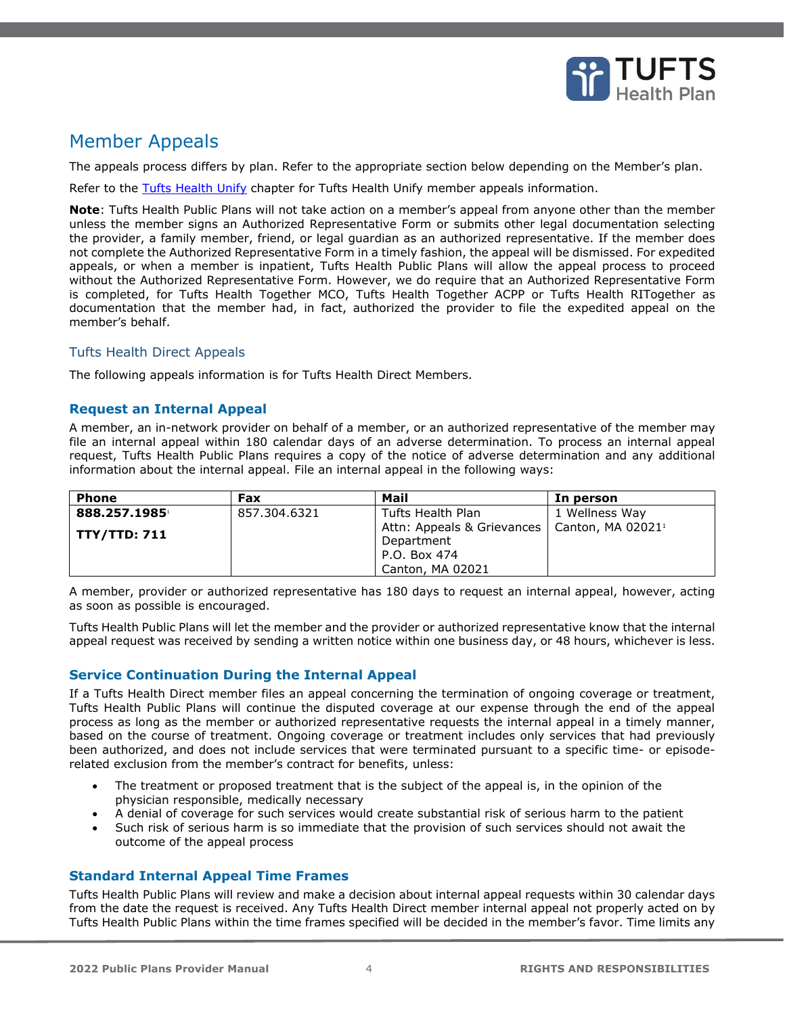

## <span id="page-3-0"></span>Member Appeals

The appeals process differs by plan. Refer to the appropriate section below depending on the Member's plan.

Refer to the Tufts Health Unify chapter for Tufts Health Unify member appeals information.

**Note**: Tufts Health Public Plans will not take action on a member's appeal from anyone other than the member unless the member signs an Authorized Representative Form or submits other legal documentation selecting the provider, a family member, friend, or legal guardian as an authorized representative. If the member does not complete the Authorized Representative Form in a timely fashion, the appeal will be dismissed. For expedited appeals, or when a member is inpatient, Tufts Health Public Plans will allow the appeal process to proceed without the Authorized Representative Form. However, we do require that an Authorized Representative Form is completed, for Tufts Health Together MCO, Tufts Health Together ACPP or Tufts Health RITogether as documentation that the member had, in fact, authorized the provider to file the expedited appeal on the member's behalf.

## <span id="page-3-1"></span>Tufts Health Direct Appeals

The following appeals information is for Tufts Health Direct Members.

### **Request an Internal Appeal**

A member, an in-network provider on behalf of a member, or an authorized representative of the member may file an internal appeal within 180 calendar days of an adverse determination. To process an internal appeal request, Tufts Health Public Plans requires a copy of the notice of adverse determination and any additional information about the internal appeal. File an internal appeal in the following ways:

| <b>Phone</b> | Fax          | Mail                                                                     | In person      |
|--------------|--------------|--------------------------------------------------------------------------|----------------|
| 888.257.1985 | 857.304.6321 | Tufts Health Plan                                                        | 1 Wellness Way |
| TTY/TTD: 711 |              | Attn: Appeals & Grievances   Canton, MA 02021 <sup>1</sup><br>Department |                |
|              |              | P.O. Box 474                                                             |                |
|              |              | Canton, MA 02021                                                         |                |

A member, provider or authorized representative has 180 days to request an internal appeal, however, acting as soon as possible is encouraged.

Tufts Health Public Plans will let the member and the provider or authorized representative know that the internal appeal request was received by sending a written notice within one business day, or 48 hours, whichever is less.

## **Service Continuation During the Internal Appeal**

If a Tufts Health Direct member files an appeal concerning the termination of ongoing coverage or treatment, Tufts Health Public Plans will continue the disputed coverage at our expense through the end of the appeal process as long as the member or authorized representative requests the internal appeal in a timely manner, based on the course of treatment. Ongoing coverage or treatment includes only services that had previously been authorized, and does not include services that were terminated pursuant to a specific time- or episoderelated exclusion from the member's contract for benefits, unless:

- The treatment or proposed treatment that is the subject of the appeal is, in the opinion of the physician responsible, medically necessary
- A denial of coverage for such services would create substantial risk of serious harm to the patient
- Such risk of serious harm is so immediate that the provision of such services should not await the outcome of the appeal process

#### **Standard Internal Appeal Time Frames**

Tufts Health Public Plans will review and make a decision about internal appeal requests within 30 calendar days from the date the request is received. Any Tufts Health Direct member internal appeal not properly acted on by Tufts Health Public Plans within the time frames specified will be decided in the member's favor. Time limits any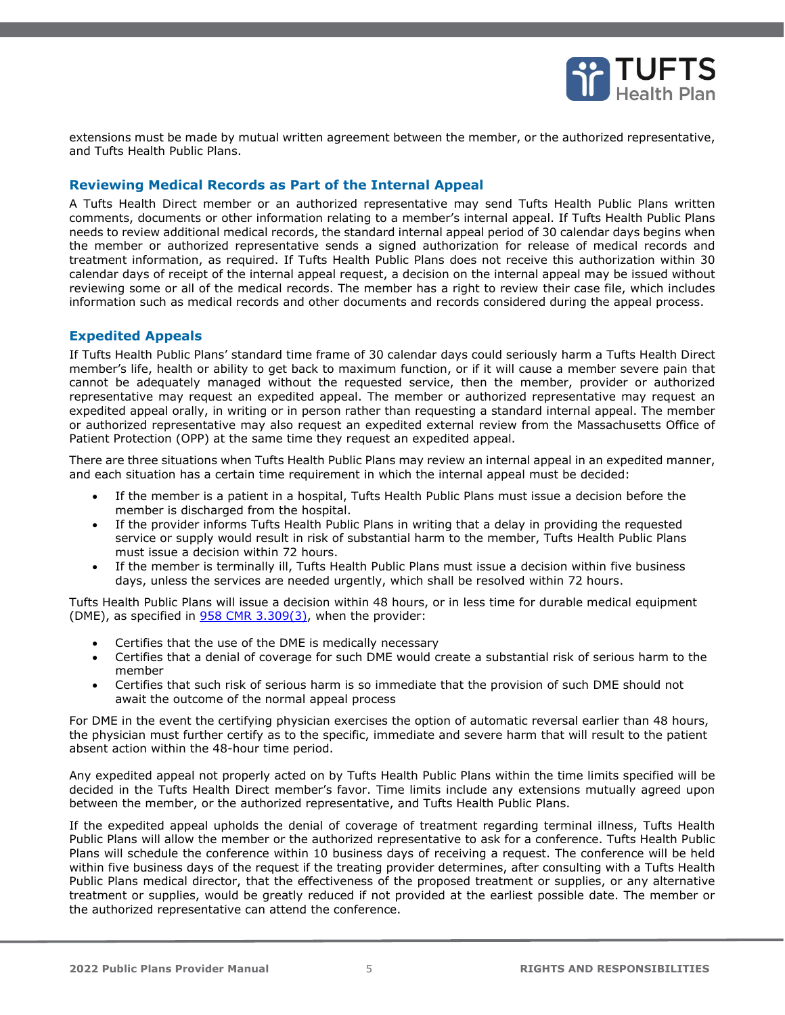

extensions must be made by mutual written agreement between the member, or the authorized representative, and Tufts Health Public Plans.

#### **Reviewing Medical Records as Part of the Internal Appeal**

A Tufts Health Direct member or an authorized representative may send Tufts Health Public Plans written comments, documents or other information relating to a member's internal appeal. If Tufts Health Public Plans needs to review additional medical records, the standard internal appeal period of 30 calendar days begins when the member or authorized representative sends a signed authorization for release of medical records and treatment information, as required. If Tufts Health Public Plans does not receive this authorization within 30 calendar days of receipt of the internal appeal request, a decision on the internal appeal may be issued without reviewing some or all of the medical records. The member has a right to review their case file, which includes information such as medical records and other documents and records considered during the appeal process.

### **Expedited Appeals**

If Tufts Health Public Plans' standard time frame of 30 calendar days could seriously harm a Tufts Health Direct member's life, health or ability to get back to maximum function, or if it will cause a member severe pain that cannot be adequately managed without the requested service, then the member, provider or authorized representative may request an expedited appeal. The member or authorized representative may request an expedited appeal orally, in writing or in person rather than requesting a standard internal appeal. The member or authorized representative may also request an expedited external review from the Massachusetts Office of Patient Protection (OPP) at the same time they request an expedited appeal.

There are three situations when Tufts Health Public Plans may review an internal appeal in an expedited manner, and each situation has a certain time requirement in which the internal appeal must be decided:

- If the member is a patient in a hospital, Tufts Health Public Plans must issue a decision before the member is discharged from the hospital.
- If the provider informs Tufts Health Public Plans in writing that a delay in providing the requested service or supply would result in risk of substantial harm to the member, Tufts Health Public Plans must issue a decision within 72 hours.
- If the member is terminally ill, Tufts Health Public Plans must issue a decision within five business days, unless the services are needed urgently, which shall be resolved within 72 hours.

Tufts Health Public Plans will issue a decision within 48 hours, or in less time for durable medical equipment (DME), as specified in  $958$  CMR 3.309(3), when the provider:

- Certifies that the use of the DME is medically necessary
- Certifies that a denial of coverage for such DME would create a substantial risk of serious harm to the member
- Certifies that such risk of serious harm is so immediate that the provision of such DME should not await the outcome of the normal appeal process

For DME in the event the certifying physician exercises the option of automatic reversal earlier than 48 hours, the physician must further certify as to the specific, immediate and severe harm that will result to the patient absent action within the 48-hour time period.

Any expedited appeal not properly acted on by Tufts Health Public Plans within the time limits specified will be decided in the Tufts Health Direct member's favor. Time limits include any extensions mutually agreed upon between the member, or the authorized representative, and Tufts Health Public Plans.

If the expedited appeal upholds the denial of coverage of treatment regarding terminal illness, Tufts Health Public Plans will allow the member or the authorized representative to ask for a conference. Tufts Health Public Plans will schedule the conference within 10 business days of receiving a request. The conference will be held within five business days of the request if the treating provider determines, after consulting with a Tufts Health Public Plans medical director, that the effectiveness of the proposed treatment or supplies, or any alternative treatment or supplies, would be greatly reduced if not provided at the earliest possible date. The member or the authorized representative can attend the conference.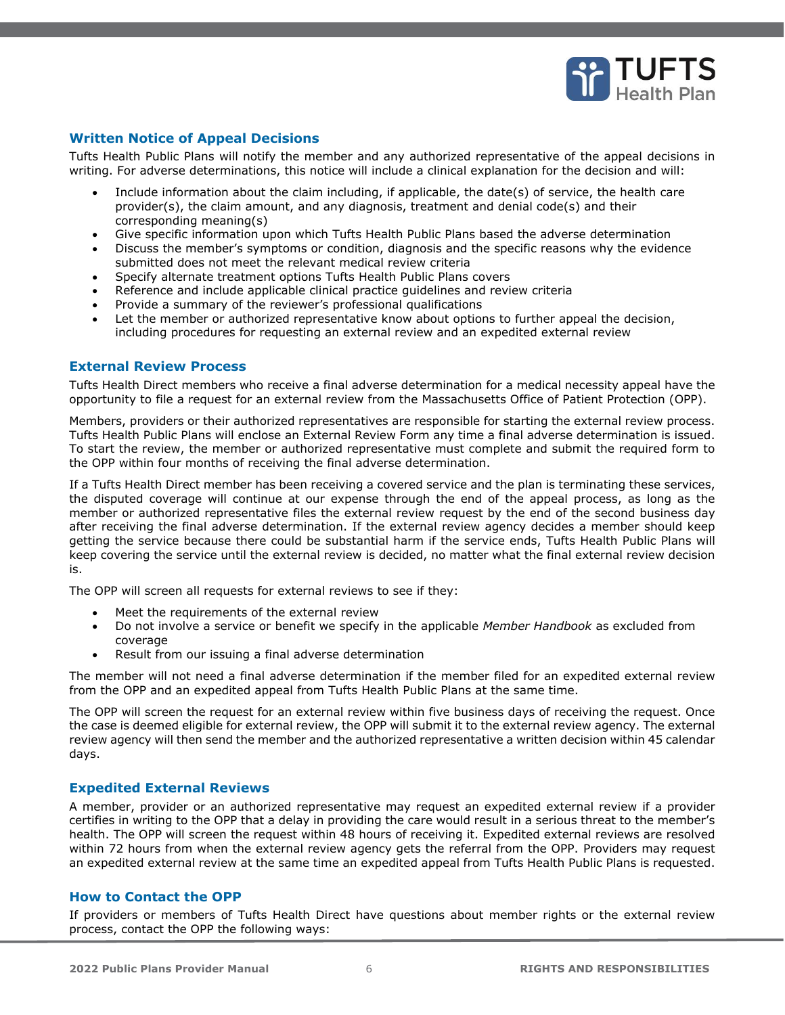

## **Written Notice of Appeal Decisions**

Tufts Health Public Plans will notify the member and any authorized representative of the appeal decisions in writing. For adverse determinations, this notice will include a clinical explanation for the decision and will:

- Include information about the claim including, if applicable, the date(s) of service, the health care provider(s), the claim amount, and any diagnosis, treatment and denial code(s) and their corresponding meaning(s)
- Give specific information upon which Tufts Health Public Plans based the adverse determination
- Discuss the member's symptoms or condition, diagnosis and the specific reasons why the evidence submitted does not meet the relevant medical review criteria
- Specify alternate treatment options Tufts Health Public Plans covers
- Reference and include applicable clinical practice guidelines and review criteria
- Provide a summary of the reviewer's professional qualifications
- Let the member or authorized representative know about options to further appeal the decision, including procedures for requesting an external review and an expedited external review

#### **External Review Process**

Tufts Health Direct members who receive a final adverse determination for a medical necessity appeal have the opportunity to file a request for an external review from the Massachusetts Office of Patient Protection (OPP).

Members, providers or their authorized representatives are responsible for starting the external review process. Tufts Health Public Plans will enclose an External Review Form any time a final adverse determination is issued. To start the review, the member or authorized representative must complete and submit the required form to the OPP within four months of receiving the final adverse determination.

If a Tufts Health Direct member has been receiving a covered service and the plan is terminating these services, the disputed coverage will continue at our expense through the end of the appeal process, as long as the member or authorized representative files the external review request by the end of the second business day after receiving the final adverse determination. If the external review agency decides a member should keep getting the service because there could be substantial harm if the service ends, Tufts Health Public Plans will keep covering the service until the external review is decided, no matter what the final external review decision is.

The OPP will screen all requests for external reviews to see if they:

- Meet the requirements of the external review
- Do not involve a service or benefit we specify in the applicable *Member Handbook* as excluded from coverage
- Result from our issuing a final adverse determination

The member will not need a final adverse determination if the member filed for an expedited external review from the OPP and an expedited appeal from Tufts Health Public Plans at the same time.

The OPP will screen the request for an external review within five business days of receiving the request. Once the case is deemed eligible for external review, the OPP will submit it to the external review agency. The external review agency will then send the member and the authorized representative a written decision within 45 calendar days.

#### **Expedited External Reviews**

A member, provider or an authorized representative may request an expedited external review if a provider certifies in writing to the OPP that a delay in providing the care would result in a serious threat to the member's health. The OPP will screen the request within 48 hours of receiving it. Expedited external reviews are resolved within 72 hours from when the external review agency gets the referral from the OPP. Providers may request an expedited external review at the same time an expedited appeal from Tufts Health Public Plans is requested.

#### **How to Contact the OPP**

If providers or members of Tufts Health Direct have questions about member rights or the external review process, contact the OPP the following ways: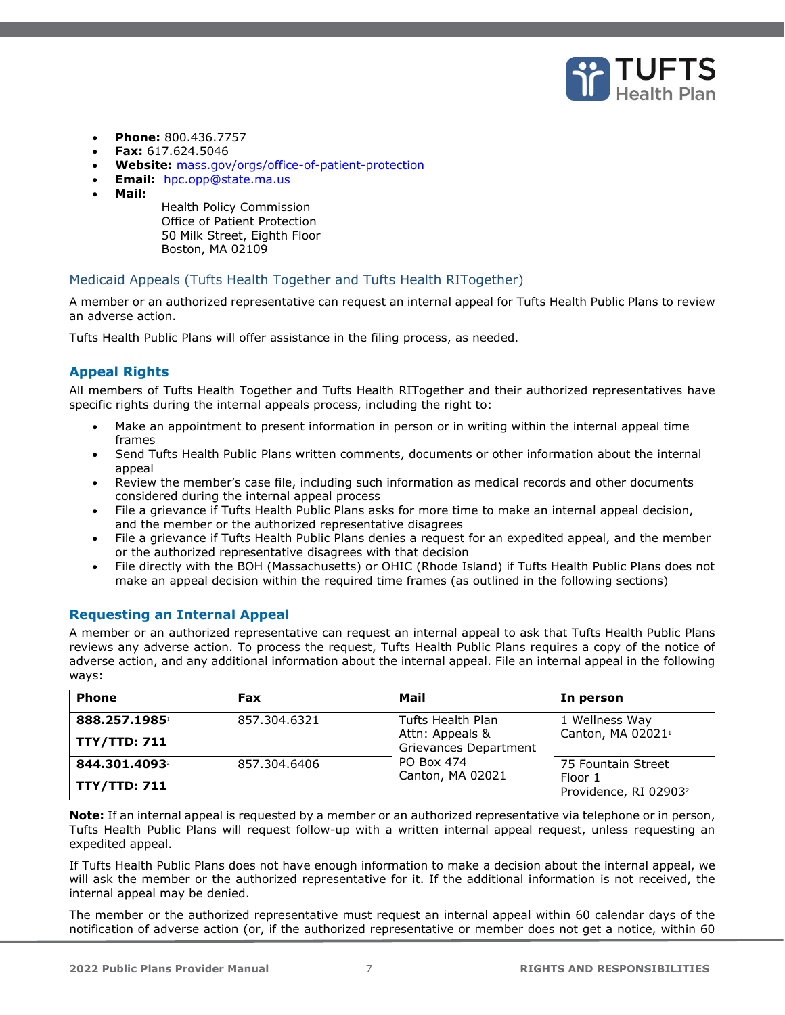

- **Phone:** 800.436.7757
- **Fax:** 617.624.5046
- **Website:** [mass.gov/orgs/office-of-patient-protection](https://www.mass.gov/orgs/office-of-patient-protection)
- **Email:** [hpc.opp@state.ma.us](mailto:hpc.opp@state.ma.us)
- **Mail:**

Health Policy Commission Office of Patient Protection 50 Milk Street, Eighth Floor Boston, MA 02109

## <span id="page-6-0"></span>Medicaid Appeals (Tufts Health Together and Tufts Health RITogether)

A member or an authorized representative can request an internal appeal for Tufts Health Public Plans to review an adverse action.

Tufts Health Public Plans will offer assistance in the filing process, as needed.

## **Appeal Rights**

All members of Tufts Health Together and Tufts Health RITogether and their authorized representatives have specific rights during the internal appeals process, including the right to:

- Make an appointment to present information in person or in writing within the internal appeal time frames
- Send Tufts Health Public Plans written comments, documents or other information about the internal appeal
- Review the member's case file, including such information as medical records and other documents considered during the internal appeal process
- File a grievance if Tufts Health Public Plans asks for more time to make an internal appeal decision, and the member or the authorized representative disagrees
- File a grievance if Tufts Health Public Plans denies a request for an expedited appeal, and the member or the authorized representative disagrees with that decision
- File directly with the BOH (Massachusetts) or OHIC (Rhode Island) if Tufts Health Public Plans does not make an appeal decision within the required time frames (as outlined in the following sections)

## **Requesting an Internal Appeal**

A member or an authorized representative can request an internal appeal to ask that Tufts Health Public Plans reviews any adverse action. To process the request, Tufts Health Public Plans requires a copy of the notice of adverse action, and any additional information about the internal appeal. File an internal appeal in the following ways:

| <b>Phone</b>        | Fax          | Mail                                     | In person                                    |
|---------------------|--------------|------------------------------------------|----------------------------------------------|
| 888.257.1985        | 857.304.6321 | Tufts Health Plan                        | 1 Wellness Way                               |
| <b>TTY/TTD: 711</b> |              | Attn: Appeals &<br>Grievances Department | Canton, MA 02021 <sup>1</sup>                |
| 844.301.4093        | 857.304.6406 | PO Box 474<br>Canton, MA 02021           | 75 Fountain Street                           |
| <b>TTY/TTD: 711</b> |              |                                          | Floor 1<br>Providence, RI 02903 <sup>2</sup> |

**Note:** If an internal appeal is requested by a member or an authorized representative via telephone or in person, Tufts Health Public Plans will request follow-up with a written internal appeal request, unless requesting an expedited appeal.

If Tufts Health Public Plans does not have enough information to make a decision about the internal appeal, we will ask the member or the authorized representative for it. If the additional information is not received, the internal appeal may be denied.

The member or the authorized representative must request an internal appeal within 60 calendar days of the notification of adverse action (or, if the authorized representative or member does not get a notice, within 60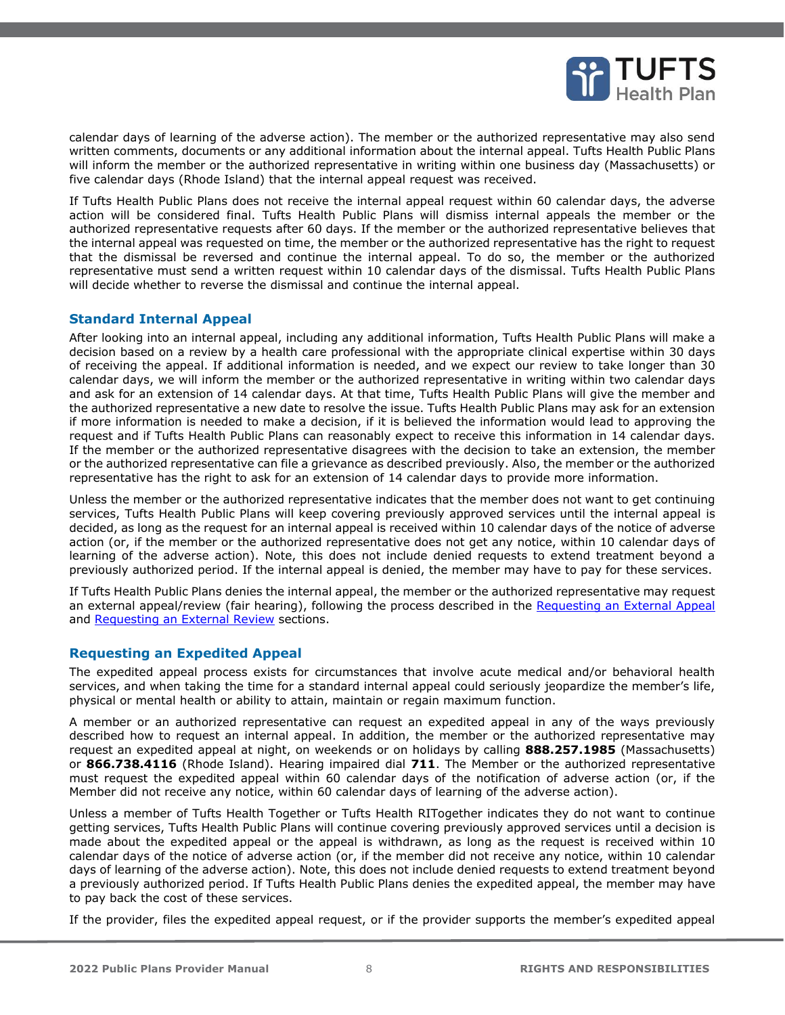

calendar days of learning of the adverse action). The member or the authorized representative may also send written comments, documents or any additional information about the internal appeal. Tufts Health Public Plans will inform the member or the authorized representative in writing within one business day (Massachusetts) or five calendar days (Rhode Island) that the internal appeal request was received.

If Tufts Health Public Plans does not receive the internal appeal request within 60 calendar days, the adverse action will be considered final. Tufts Health Public Plans will dismiss internal appeals the member or the authorized representative requests after 60 days. If the member or the authorized representative believes that the internal appeal was requested on time, the member or the authorized representative has the right to request that the dismissal be reversed and continue the internal appeal. To do so, the member or the authorized representative must send a written request within 10 calendar days of the dismissal. Tufts Health Public Plans will decide whether to reverse the dismissal and continue the internal appeal.

#### **Standard Internal Appeal**

After looking into an internal appeal, including any additional information, Tufts Health Public Plans will make a decision based on a review by a health care professional with the appropriate clinical expertise within 30 days of receiving the appeal. If additional information is needed, and we expect our review to take longer than 30 calendar days, we will inform the member or the authorized representative in writing within two calendar days and ask for an extension of 14 calendar days. At that time, Tufts Health Public Plans will give the member and the authorized representative a new date to resolve the issue. Tufts Health Public Plans may ask for an extension if more information is needed to make a decision, if it is believed the information would lead to approving the request and if Tufts Health Public Plans can reasonably expect to receive this information in 14 calendar days. If the member or the authorized representative disagrees with the decision to take an extension, the member or the authorized representative can file a grievance as described previously. Also, the member or the authorized representative has the right to ask for an extension of 14 calendar days to provide more information.

Unless the member or the authorized representative indicates that the member does not want to get continuing services, Tufts Health Public Plans will keep covering previously approved services until the internal appeal is decided, as long as the request for an internal appeal is received within 10 calendar days of the notice of adverse action (or, if the member or the authorized representative does not get any notice, within 10 calendar days of learning of the adverse action). Note, this does not include denied requests to extend treatment beyond a previously authorized period. If the internal appeal is denied, the member may have to pay for these services.

If Tufts Health Public Plans denies the internal appeal, the member or the authorized representative may request an external appeal/review (fair hearing), following the process described in the [Requesting an External Appeal](#page-8-0) and [Requesting an External Review](#page-8-1) sections.

## **Requesting an Expedited Appeal**

The expedited appeal process exists for circumstances that involve acute medical and/or behavioral health services, and when taking the time for a standard internal appeal could seriously jeopardize the member's life, physical or mental health or ability to attain, maintain or regain maximum function.

A member or an authorized representative can request an expedited appeal in any of the ways previously described how to request an internal appeal. In addition, the member or the authorized representative may request an expedited appeal at night, on weekends or on holidays by calling **888.257.1985** (Massachusetts) or **866.738.4116** (Rhode Island). Hearing impaired dial **711**. The Member or the authorized representative must request the expedited appeal within 60 calendar days of the notification of adverse action (or, if the Member did not receive any notice, within 60 calendar days of learning of the adverse action).

Unless a member of Tufts Health Together or Tufts Health RITogether indicates they do not want to continue getting services, Tufts Health Public Plans will continue covering previously approved services until a decision is made about the expedited appeal or the appeal is withdrawn, as long as the request is received within 10 calendar days of the notice of adverse action (or, if the member did not receive any notice, within 10 calendar days of learning of the adverse action). Note, this does not include denied requests to extend treatment beyond a previously authorized period. If Tufts Health Public Plans denies the expedited appeal, the member may have to pay back the cost of these services.

If the provider, files the expedited appeal request, or if the provider supports the member's expedited appeal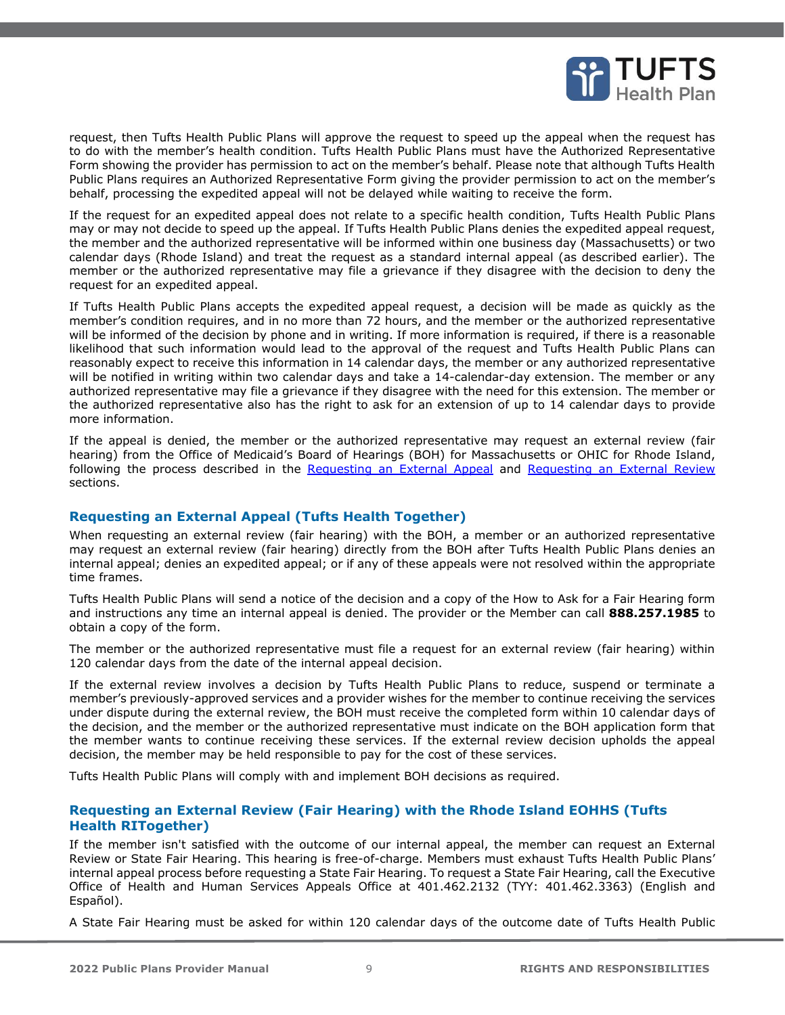

request, then Tufts Health Public Plans will approve the request to speed up the appeal when the request has to do with the member's health condition. Tufts Health Public Plans must have the Authorized Representative Form showing the provider has permission to act on the member's behalf. Please note that although Tufts Health Public Plans requires an Authorized Representative Form giving the provider permission to act on the member's behalf, processing the expedited appeal will not be delayed while waiting to receive the form.

If the request for an expedited appeal does not relate to a specific health condition, Tufts Health Public Plans may or may not decide to speed up the appeal. If Tufts Health Public Plans denies the expedited appeal request, the member and the authorized representative will be informed within one business day (Massachusetts) or two calendar days (Rhode Island) and treat the request as a standard internal appeal (as described earlier). The member or the authorized representative may file a grievance if they disagree with the decision to deny the request for an expedited appeal.

If Tufts Health Public Plans accepts the expedited appeal request, a decision will be made as quickly as the member's condition requires, and in no more than 72 hours, and the member or the authorized representative will be informed of the decision by phone and in writing. If more information is required, if there is a reasonable likelihood that such information would lead to the approval of the request and Tufts Health Public Plans can reasonably expect to receive this information in 14 calendar days, the member or any authorized representative will be notified in writing within two calendar days and take a 14-calendar-day extension. The member or any authorized representative may file a grievance if they disagree with the need for this extension. The member or the authorized representative also has the right to ask for an extension of up to 14 calendar days to provide more information.

If the appeal is denied, the member or the authorized representative may request an external review (fair hearing) from the Office of Medicaid's Board of Hearings (BOH) for Massachusetts or OHIC for Rhode Island, following the process described in the [Requesting an External Appeal](#page-8-0) and [Requesting an External Review](#page-8-1) sections.

## <span id="page-8-0"></span>**Requesting an External Appeal (Tufts Health Together)**

When requesting an external review (fair hearing) with the BOH, a member or an authorized representative may request an external review (fair hearing) directly from the BOH after Tufts Health Public Plans denies an internal appeal; denies an expedited appeal; or if any of these appeals were not resolved within the appropriate time frames.

Tufts Health Public Plans will send a notice of the decision and a copy of the How to Ask for a Fair Hearing form and instructions any time an internal appeal is denied. The provider or the Member can call **888.257.1985** to obtain a copy of the form.

The member or the authorized representative must file a request for an external review (fair hearing) within 120 calendar days from the date of the internal appeal decision.

If the external review involves a decision by Tufts Health Public Plans to reduce, suspend or terminate a member's previously-approved services and a provider wishes for the member to continue receiving the services under dispute during the external review, the BOH must receive the completed form within 10 calendar days of the decision, and the member or the authorized representative must indicate on the BOH application form that the member wants to continue receiving these services. If the external review decision upholds the appeal decision, the member may be held responsible to pay for the cost of these services.

Tufts Health Public Plans will comply with and implement BOH decisions as required.

### <span id="page-8-1"></span>**Requesting an External Review (Fair Hearing) with the Rhode Island EOHHS (Tufts Health RITogether)**

If the member isn't satisfied with the outcome of our internal appeal, the member can request an External Review or State Fair Hearing. This hearing is free-of-charge. Members must exhaust Tufts Health Public Plans' internal appeal process before requesting a State Fair Hearing. To request a State Fair Hearing, call the Executive Office of Health and Human Services Appeals Office at 401.462.2132 (TYY: 401.462.3363) (English and Español).

A State Fair Hearing must be asked for within 120 calendar days of the outcome date of Tufts Health Public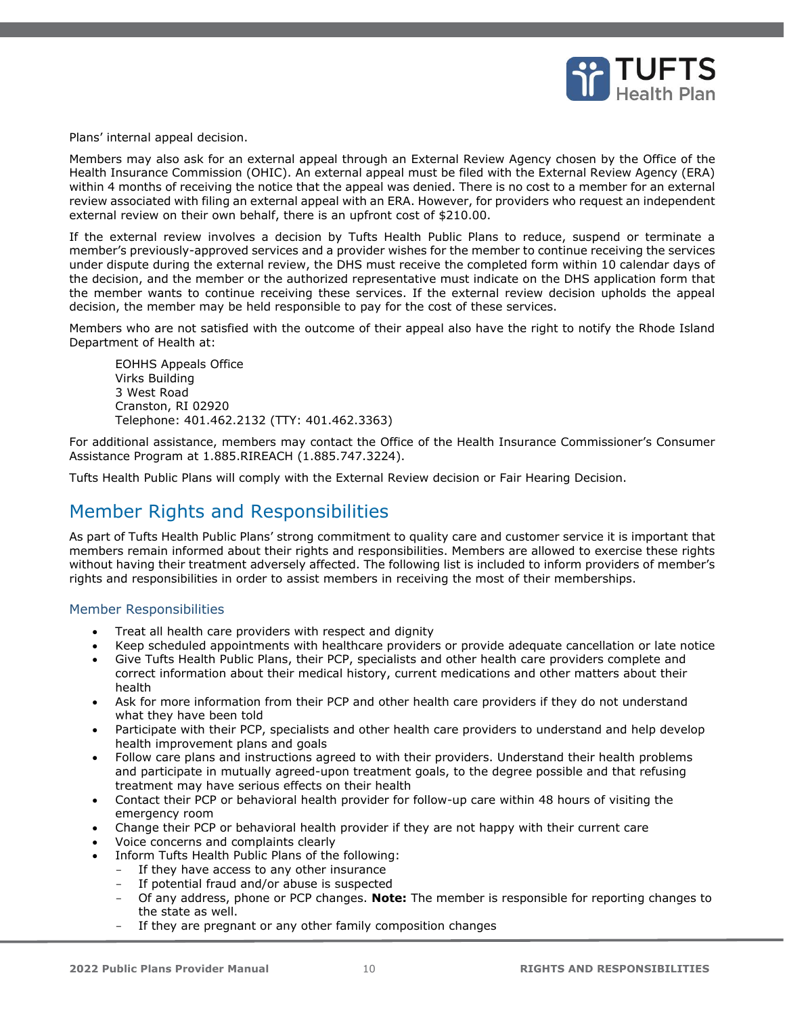

Plans' internal appeal decision.

Members may also ask for an external appeal through an External Review Agency chosen by the Office of the Health Insurance Commission (OHIC). An external appeal must be filed with the External Review Agency (ERA) within 4 months of receiving the notice that the appeal was denied. There is no cost to a member for an external review associated with filing an external appeal with an ERA. However, for providers who request an independent external review on their own behalf, there is an upfront cost of \$210.00.

If the external review involves a decision by Tufts Health Public Plans to reduce, suspend or terminate a member's previously-approved services and a provider wishes for the member to continue receiving the services under dispute during the external review, the DHS must receive the completed form within 10 calendar days of the decision, and the member or the authorized representative must indicate on the DHS application form that the member wants to continue receiving these services. If the external review decision upholds the appeal decision, the member may be held responsible to pay for the cost of these services.

Members who are not satisfied with the outcome of their appeal also have the right to notify the Rhode Island Department of Health at:

EOHHS Appeals Office Virks Building 3 West Road Cranston, RI 02920 Telephone: 401.462.2132 (TTY: 401.462.3363)

For additional assistance, members may contact the Office of the Health Insurance Commissioner's Consumer Assistance Program at 1.885.RIREACH (1.885.747.3224).

Tufts Health Public Plans will comply with the External Review decision or Fair Hearing Decision.

## <span id="page-9-0"></span>Member Rights and Responsibilities

As part of Tufts Health Public Plans' strong commitment to quality care and customer service it is important that members remain informed about their rights and responsibilities. Members are allowed to exercise these rights without having their treatment adversely affected. The following list is included to inform providers of member's rights and responsibilities in order to assist members in receiving the most of their memberships.

#### <span id="page-9-1"></span>Member Responsibilities

- Treat all health care providers with respect and dignity
- Keep scheduled appointments with healthcare providers or provide adequate cancellation or late notice
- Give Tufts Health Public Plans, their PCP, specialists and other health care providers complete and correct information about their medical history, current medications and other matters about their health
- Ask for more information from their PCP and other health care providers if they do not understand what they have been told
- Participate with their PCP, specialists and other health care providers to understand and help develop health improvement plans and goals
- Follow care plans and instructions agreed to with their providers. Understand their health problems and participate in mutually agreed-upon treatment goals, to the degree possible and that refusing treatment may have serious effects on their health
- Contact their PCP or behavioral health provider for follow-up care within 48 hours of visiting the emergency room
- Change their PCP or behavioral health provider if they are not happy with their current care
- Voice concerns and complaints clearly
- Inform Tufts Health Public Plans of the following:
	- If they have access to any other insurance
	- If potential fraud and/or abuse is suspected
	- Of any address, phone or PCP changes. **Note:** The member is responsible for reporting changes to the state as well.
	- If they are pregnant or any other family composition changes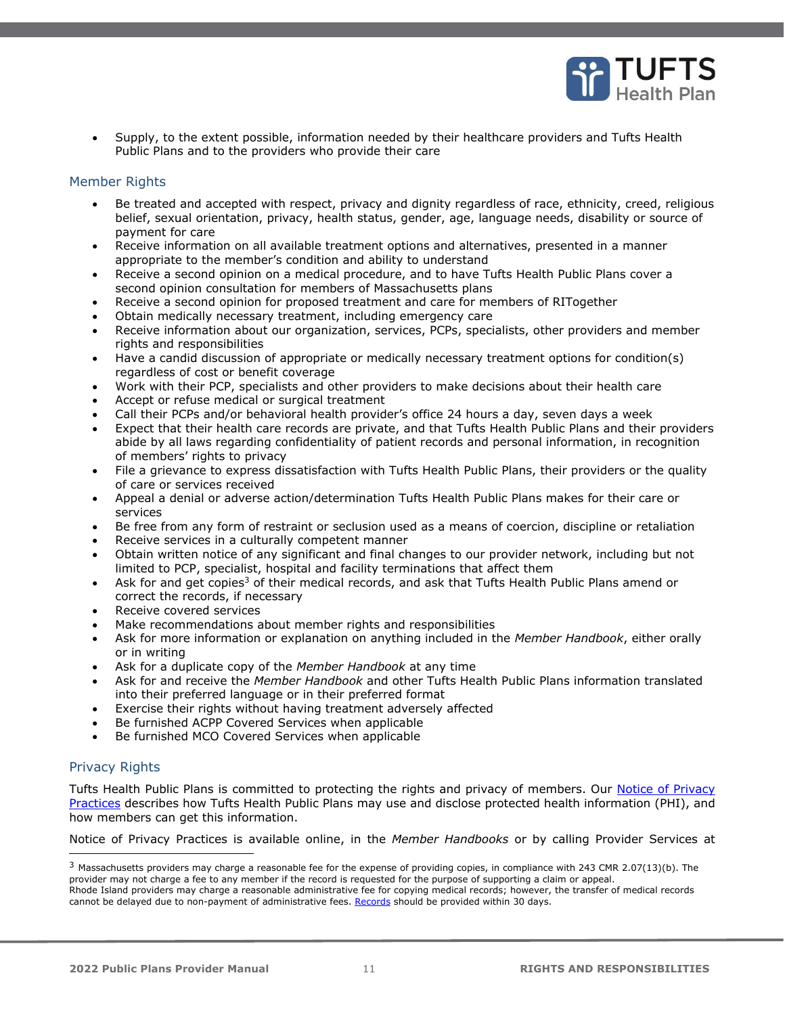

• Supply, to the extent possible, information needed by their healthcare providers and Tufts Health Public Plans and to the providers who provide their care

#### <span id="page-10-0"></span>Member Rights

- Be treated and accepted with respect, privacy and dignity regardless of race, ethnicity, creed, religious belief, sexual orientation, privacy, health status, gender, age, language needs, disability or source of payment for care
- Receive information on all available treatment options and alternatives, presented in a manner appropriate to the member's condition and ability to understand
- Receive a second opinion on a medical procedure, and to have Tufts Health Public Plans cover a second opinion consultation for members of Massachusetts plans
- Receive a second opinion for proposed treatment and care for members of RITogether
- Obtain medically necessary treatment, including emergency care
- Receive information about our organization, services, PCPs, specialists, other providers and member rights and responsibilities
- Have a candid discussion of appropriate or medically necessary treatment options for condition(s) regardless of cost or benefit coverage
- Work with their PCP, specialists and other providers to make decisions about their health care
- Accept or refuse medical or surgical treatment
- Call their PCPs and/or behavioral health provider's office 24 hours a day, seven days a week
- Expect that their health care records are private, and that Tufts Health Public Plans and their providers abide by all laws regarding confidentiality of patient records and personal information, in recognition of members' rights to privacy
- File a grievance to express dissatisfaction with Tufts Health Public Plans, their providers or the quality of care or services received
- Appeal a denial or adverse action/determination Tufts Health Public Plans makes for their care or services
- Be free from any form of restraint or seclusion used as a means of coercion, discipline or retaliation
- Receive services in a culturally competent manner
- Obtain written notice of any significant and final changes to our provider network, including but not limited to PCP, specialist, hospital and facility terminations that affect them
- Ask for and get copies<sup>3</sup> of their medical records, and ask that Tufts Health Public Plans amend or correct the records, if necessary
- Receive covered services
- Make recommendations about member rights and responsibilities
- Ask for more information or explanation on anything included in the *Member Handbook*, either orally or in writing
- Ask for a duplicate copy of the *Member Handbook* at any time
- Ask for and receive the *Member Handbook* and other Tufts Health Public Plans information translated into their preferred language or in their preferred format
- Exercise their rights without having treatment adversely affected
- Be furnished ACPP Covered Services when applicable
- Be furnished MCO Covered Services when applicable

## <span id="page-10-1"></span>Privacy Rights

Tufts Health Public Plans is committed to protecting the rights and privacy of members. Our Notice of Privacy [Practices](https://tuftshealthplan.com/documents/members/legal/notice-of-privacy-practices) describes how Tufts Health Public Plans may use and disclose protected health information (PHI), and how members can get this information.

Notice of Privacy Practices is available online, in the *Member Handbooks* or by calling Provider Services at

<sup>3</sup> Massachusetts providers may charge a reasonable fee for the expense of providing copies, in compliance with 243 CMR 2.07(13)(b). The provider may not charge a fee to any member if the record is requested for the purpose of supporting a claim or appeal. Rhode Island providers may charge a reasonable administrative fee for copying medical records; however, the transfer of medical records cannot be delayed due to non-payment of administrative fees. [Records](http://www.health.ri.gov/medicalrecords/about/feesforcopying/) should be provided within 30 days.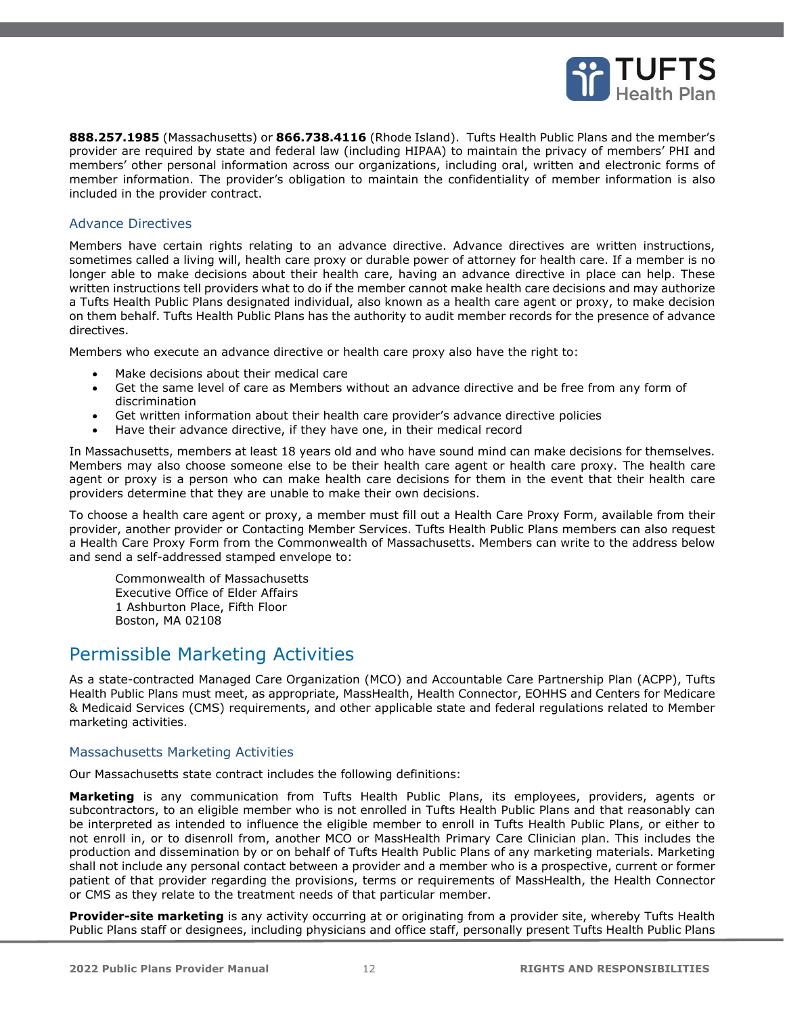

**888.257.1985** (Massachusetts) or **866.738.4116** (Rhode Island). Tufts Health Public Plans and the member's provider are required by state and federal law (including HIPAA) to maintain the privacy of members' PHI and members' other personal information across our organizations, including oral, written and electronic forms of member information. The provider's obligation to maintain the confidentiality of member information is also included in the provider contract.

#### <span id="page-11-0"></span>Advance Directives

Members have certain rights relating to an advance directive. Advance directives are written instructions, sometimes called a living will, health care proxy or durable power of attorney for health care. If a member is no longer able to make decisions about their health care, having an advance directive in place can help. These written instructions tell providers what to do if the member cannot make health care decisions and may authorize a Tufts Health Public Plans designated individual, also known as a health care agent or proxy, to make decision on them behalf. Tufts Health Public Plans has the authority to audit member records for the presence of advance directives.

Members who execute an advance directive or health care proxy also have the right to:

- Make decisions about their medical care
- Get the same level of care as Members without an advance directive and be free from any form of discrimination
- Get written information about their health care provider's advance directive policies
- Have their advance directive, if they have one, in their medical record

In Massachusetts, members at least 18 years old and who have sound mind can make decisions for themselves. Members may also choose someone else to be their health care agent or health care proxy. The health care agent or proxy is a person who can make health care decisions for them in the event that their health care providers determine that they are unable to make their own decisions.

To choose a health care agent or proxy, a member must fill out a Health Care Proxy Form, available from their provider, another provider or Contacting Member Services. Tufts Health Public Plans members can also request a Health Care Proxy Form from the Commonwealth of Massachusetts. Members can write to the address below and send a self-addressed stamped envelope to:

Commonwealth of Massachusetts Executive Office of Elder Affairs 1 Ashburton Place, Fifth Floor Boston, MA 02108

## <span id="page-11-1"></span>Permissible Marketing Activities

As a state-contracted Managed Care Organization (MCO) and Accountable Care Partnership Plan (ACPP), Tufts Health Public Plans must meet, as appropriate, MassHealth, Health Connector, EOHHS and Centers for Medicare & Medicaid Services (CMS) requirements, and other applicable state and federal regulations related to Member marketing activities.

#### <span id="page-11-2"></span>Massachusetts Marketing Activities

Our Massachusetts state contract includes the following definitions:

**Marketing** is any communication from Tufts Health Public Plans, its employees, providers, agents or subcontractors, to an eligible member who is not enrolled in Tufts Health Public Plans and that reasonably can be interpreted as intended to influence the eligible member to enroll in Tufts Health Public Plans, or either to not enroll in, or to disenroll from, another MCO or MassHealth Primary Care Clinician plan. This includes the production and dissemination by or on behalf of Tufts Health Public Plans of any marketing materials. Marketing shall not include any personal contact between a provider and a member who is a prospective, current or former patient of that provider regarding the provisions, terms or requirements of MassHealth, the Health Connector or CMS as they relate to the treatment needs of that particular member.

**Provider-site marketing** is any activity occurring at or originating from a provider site, whereby Tufts Health Public Plans staff or designees, including physicians and office staff, personally present Tufts Health Public Plans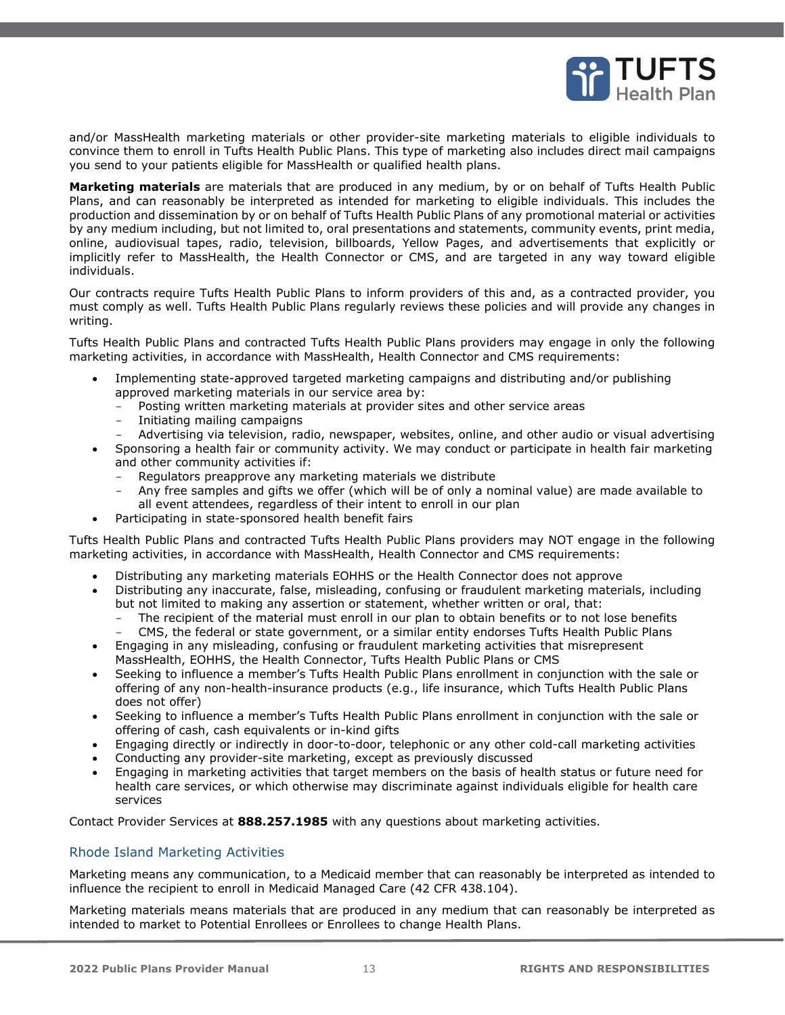

and/or MassHealth marketing materials or other provider-site marketing materials to eligible individuals to convince them to enroll in Tufts Health Public Plans. This type of marketing also includes direct mail campaigns you send to your patients eligible for MassHealth or qualified health plans.

**Marketing materials** are materials that are produced in any medium, by or on behalf of Tufts Health Public Plans, and can reasonably be interpreted as intended for marketing to eligible individuals. This includes the production and dissemination by or on behalf of Tufts Health Public Plans of any promotional material or activities by any medium including, but not limited to, oral presentations and statements, community events, print media, online, audiovisual tapes, radio, television, billboards, Yellow Pages, and advertisements that explicitly or implicitly refer to MassHealth, the Health Connector or CMS, and are targeted in any way toward eligible individuals.

Our contracts require Tufts Health Public Plans to inform providers of this and, as a contracted provider, you must comply as well. Tufts Health Public Plans regularly reviews these policies and will provide any changes in writing.

Tufts Health Public Plans and contracted Tufts Health Public Plans providers may engage in only the following marketing activities, in accordance with MassHealth, Health Connector and CMS requirements:

- Implementing state-approved targeted marketing campaigns and distributing and/or publishing approved marketing materials in our service area by:
	- Posting written marketing materials at provider sites and other service areas
	- Initiating mailing campaigns
	- Advertising via television, radio, newspaper, websites, online, and other audio or visual advertising
- Sponsoring a health fair or community activity. We may conduct or participate in health fair marketing and other community activities if:
	- Regulators preapprove any marketing materials we distribute
	- Any free samples and gifts we offer (which will be of only a nominal value) are made available to all event attendees, regardless of their intent to enroll in our plan
- Participating in state-sponsored health benefit fairs

Tufts Health Public Plans and contracted Tufts Health Public Plans providers may NOT engage in the following marketing activities, in accordance with MassHealth, Health Connector and CMS requirements:

- Distributing any marketing materials EOHHS or the Health Connector does not approve
- Distributing any inaccurate, false, misleading, confusing or fraudulent marketing materials, including but not limited to making any assertion or statement, whether written or oral, that:
	- The recipient of the material must enroll in our plan to obtain benefits or to not lose benefits
	- CMS, the federal or state government, or a similar entity endorses Tufts Health Public Plans
- Engaging in any misleading, confusing or fraudulent marketing activities that misrepresent MassHealth, EOHHS, the Health Connector, Tufts Health Public Plans or CMS
- Seeking to influence a member's Tufts Health Public Plans enrollment in conjunction with the sale or offering of any non-health-insurance products (e.g., life insurance, which Tufts Health Public Plans does not offer)
- Seeking to influence a member's Tufts Health Public Plans enrollment in conjunction with the sale or offering of cash, cash equivalents or in-kind gifts
- Engaging directly or indirectly in door-to-door, telephonic or any other cold-call marketing activities
- Conducting any provider-site marketing, except as previously discussed
- Engaging in marketing activities that target members on the basis of health status or future need for health care services, or which otherwise may discriminate against individuals eligible for health care services

Contact Provider Services at **888.257.1985** with any questions about marketing activities.

## <span id="page-12-0"></span>Rhode Island Marketing Activities

Marketing means any communication, to a Medicaid member that can reasonably be interpreted as intended to influence the recipient to enroll in Medicaid Managed Care (42 CFR 438.104).

Marketing materials means materials that are produced in any medium that can reasonably be interpreted as intended to market to Potential Enrollees or Enrollees to change Health Plans.